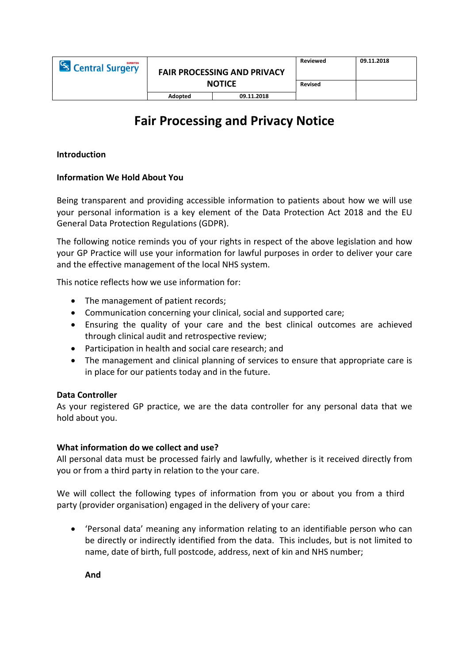| <sup>C</sup> s Central Surgery | <b>FAIR PROCESSING AND PRIVACY</b><br><b>NOTICE</b> |            | Reviewed       | 09.11.2018 |
|--------------------------------|-----------------------------------------------------|------------|----------------|------------|
|                                |                                                     |            | <b>Revised</b> |            |
|                                | Adopted                                             | 09.11.2018 |                |            |

# Fair Processing and Privacy Notice

## Introduction

### Information We Hold About You

Being transparent and providing accessible information to patients about how we will use your personal information is a key element of the Data Protection Act 2018 and the EU General Data Protection Regulations (GDPR).

The following notice reminds you of your rights in respect of the above legislation and how your GP Practice will use your information for lawful purposes in order to deliver your care and the effective management of the local NHS system.

This notice reflects how we use information for:

- The management of patient records;
- Communication concerning your clinical, social and supported care;
- Ensuring the quality of your care and the best clinical outcomes are achieved through clinical audit and retrospective review;
- Participation in health and social care research; and
- The management and clinical planning of services to ensure that appropriate care is in place for our patients today and in the future.

#### Data Controller

As your registered GP practice, we are the data controller for any personal data that we hold about you.

#### What information do we collect and use?

All personal data must be processed fairly and lawfully, whether is it received directly from you or from a third party in relation to the your care.

We will collect the following types of information from you or about you from a third party (provider organisation) engaged in the delivery of your care:

 'Personal data' meaning any information relating to an identifiable person who can be directly or indirectly identified from the data. This includes, but is not limited to name, date of birth, full postcode, address, next of kin and NHS number;

And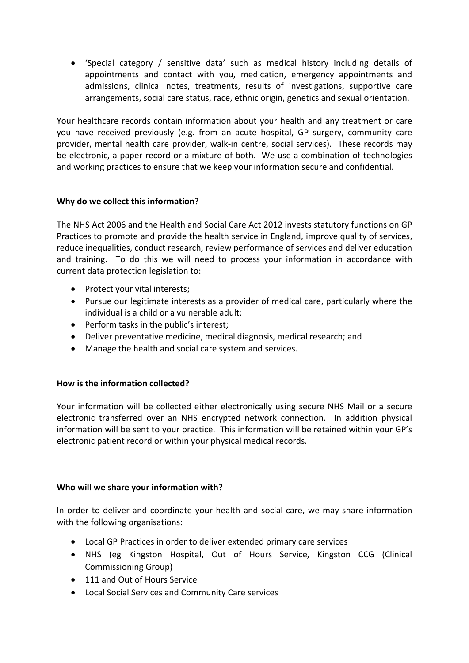'Special category / sensitive data' such as medical history including details of appointments and contact with you, medication, emergency appointments and admissions, clinical notes, treatments, results of investigations, supportive care arrangements, social care status, race, ethnic origin, genetics and sexual orientation.

Your healthcare records contain information about your health and any treatment or care you have received previously (e.g. from an acute hospital, GP surgery, community care provider, mental health care provider, walk-in centre, social services). These records may be electronic, a paper record or a mixture of both. We use a combination of technologies and working practices to ensure that we keep your information secure and confidential.

## Why do we collect this information?

The NHS Act 2006 and the Health and Social Care Act 2012 invests statutory functions on GP Practices to promote and provide the health service in England, improve quality of services, reduce inequalities, conduct research, review performance of services and deliver education and training. To do this we will need to process your information in accordance with current data protection legislation to:

- Protect your vital interests;
- Pursue our legitimate interests as a provider of medical care, particularly where the individual is a child or a vulnerable adult;
- Perform tasks in the public's interest;
- Deliver preventative medicine, medical diagnosis, medical research; and
- Manage the health and social care system and services.

## How is the information collected?

Your information will be collected either electronically using secure NHS Mail or a secure electronic transferred over an NHS encrypted network connection. In addition physical information will be sent to your practice. This information will be retained within your GP's electronic patient record or within your physical medical records.

## Who will we share your information with?

In order to deliver and coordinate your health and social care, we may share information with the following organisations:

- Local GP Practices in order to deliver extended primary care services
- NHS (eg Kingston Hospital, Out of Hours Service, Kingston CCG (Clinical Commissioning Group)
- 111 and Out of Hours Service
- Local Social Services and Community Care services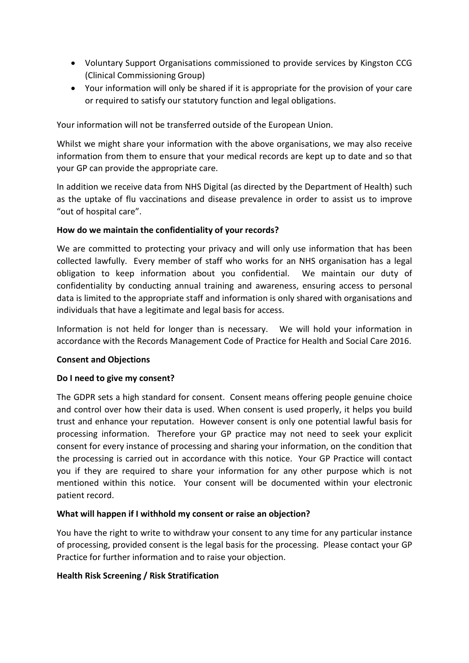- Voluntary Support Organisations commissioned to provide services by Kingston CCG (Clinical Commissioning Group)
- Your information will only be shared if it is appropriate for the provision of your care or required to satisfy our statutory function and legal obligations.

Your information will not be transferred outside of the European Union.

Whilst we might share your information with the above organisations, we may also receive information from them to ensure that your medical records are kept up to date and so that your GP can provide the appropriate care.

In addition we receive data from NHS Digital (as directed by the Department of Health) such as the uptake of flu vaccinations and disease prevalence in order to assist us to improve "out of hospital care".

## How do we maintain the confidentiality of your records?

We are committed to protecting your privacy and will only use information that has been collected lawfully. Every member of staff who works for an NHS organisation has a legal obligation to keep information about you confidential. We maintain our duty of confidentiality by conducting annual training and awareness, ensuring access to personal data is limited to the appropriate staff and information is only shared with organisations and individuals that have a legitimate and legal basis for access.

Information is not held for longer than is necessary. We will hold your information in accordance with the Records Management Code of Practice for Health and Social Care 2016.

#### Consent and Objections

#### Do I need to give my consent?

The GDPR sets a high standard for consent. Consent means offering people genuine choice and control over how their data is used. When consent is used properly, it helps you build trust and enhance your reputation. However consent is only one potential lawful basis for processing information. Therefore your GP practice may not need to seek your explicit consent for every instance of processing and sharing your information, on the condition that the processing is carried out in accordance with this notice. Your GP Practice will contact you if they are required to share your information for any other purpose which is not mentioned within this notice. Your consent will be documented within your electronic patient record.

## What will happen if I withhold my consent or raise an objection?

You have the right to write to withdraw your consent to any time for any particular instance of processing, provided consent is the legal basis for the processing. Please contact your GP Practice for further information and to raise your objection.

#### Health Risk Screening / Risk Stratification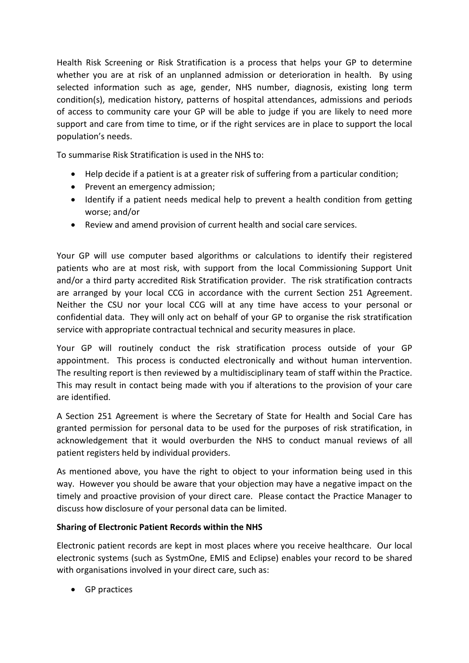Health Risk Screening or Risk Stratification is a process that helps your GP to determine whether you are at risk of an unplanned admission or deterioration in health. By using selected information such as age, gender, NHS number, diagnosis, existing long term condition(s), medication history, patterns of hospital attendances, admissions and periods of access to community care your GP will be able to judge if you are likely to need more support and care from time to time, or if the right services are in place to support the local population's needs.

To summarise Risk Stratification is used in the NHS to:

- Help decide if a patient is at a greater risk of suffering from a particular condition;
- Prevent an emergency admission;
- Identify if a patient needs medical help to prevent a health condition from getting worse; and/or
- Review and amend provision of current health and social care services.

Your GP will use computer based algorithms or calculations to identify their registered patients who are at most risk, with support from the local Commissioning Support Unit and/or a third party accredited Risk Stratification provider. The risk stratification contracts are arranged by your local CCG in accordance with the current Section 251 Agreement. Neither the CSU nor your local CCG will at any time have access to your personal or confidential data. They will only act on behalf of your GP to organise the risk stratification service with appropriate contractual technical and security measures in place.

Your GP will routinely conduct the risk stratification process outside of your GP appointment. This process is conducted electronically and without human intervention. The resulting report is then reviewed by a multidisciplinary team of staff within the Practice. This may result in contact being made with you if alterations to the provision of your care are identified.

A Section 251 Agreement is where the Secretary of State for Health and Social Care has granted permission for personal data to be used for the purposes of risk stratification, in acknowledgement that it would overburden the NHS to conduct manual reviews of all patient registers held by individual providers.

As mentioned above, you have the right to object to your information being used in this way. However you should be aware that your objection may have a negative impact on the timely and proactive provision of your direct care. Please contact the Practice Manager to discuss how disclosure of your personal data can be limited.

## Sharing of Electronic Patient Records within the NHS

Electronic patient records are kept in most places where you receive healthcare. Our local electronic systems (such as SystmOne, EMIS and Eclipse) enables your record to be shared with organisations involved in your direct care, such as:

GP practices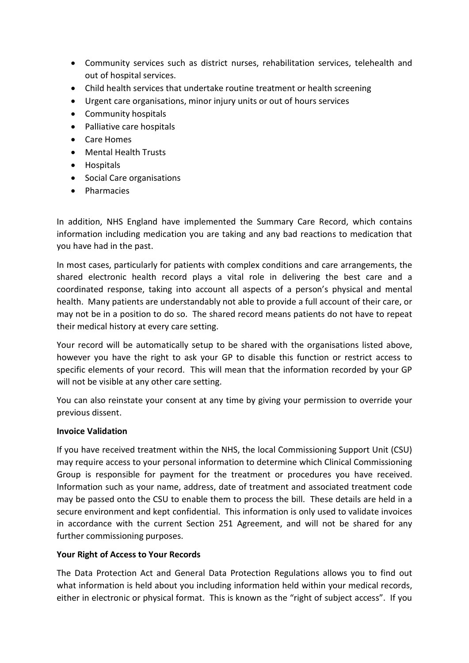- Community services such as district nurses, rehabilitation services, telehealth and out of hospital services.
- Child health services that undertake routine treatment or health screening
- Urgent care organisations, minor injury units or out of hours services
- Community hospitals
- Palliative care hospitals
- Care Homes
- Mental Health Trusts
- Hospitals
- Social Care organisations
- **•** Pharmacies

In addition, NHS England have implemented the Summary Care Record, which contains information including medication you are taking and any bad reactions to medication that you have had in the past.

In most cases, particularly for patients with complex conditions and care arrangements, the shared electronic health record plays a vital role in delivering the best care and a coordinated response, taking into account all aspects of a person's physical and mental health. Many patients are understandably not able to provide a full account of their care, or may not be in a position to do so. The shared record means patients do not have to repeat their medical history at every care setting.

Your record will be automatically setup to be shared with the organisations listed above, however you have the right to ask your GP to disable this function or restrict access to specific elements of your record. This will mean that the information recorded by your GP will not be visible at any other care setting.

You can also reinstate your consent at any time by giving your permission to override your previous dissent.

## Invoice Validation

If you have received treatment within the NHS, the local Commissioning Support Unit (CSU) may require access to your personal information to determine which Clinical Commissioning Group is responsible for payment for the treatment or procedures you have received. Information such as your name, address, date of treatment and associated treatment code may be passed onto the CSU to enable them to process the bill. These details are held in a secure environment and kept confidential. This information is only used to validate invoices in accordance with the current Section 251 Agreement, and will not be shared for any further commissioning purposes.

## Your Right of Access to Your Records

The Data Protection Act and General Data Protection Regulations allows you to find out what information is held about you including information held within your medical records, either in electronic or physical format. This is known as the "right of subject access". If you